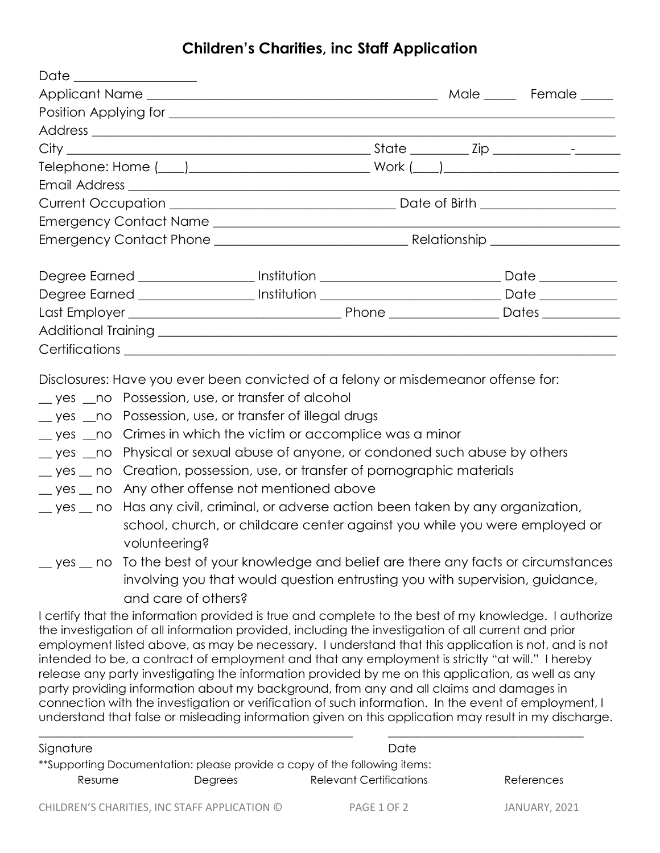## **Children's Charities, inc Staff Application**

| Date _______________                                                                                                                                                                                                                 |  |                                    |
|--------------------------------------------------------------------------------------------------------------------------------------------------------------------------------------------------------------------------------------|--|------------------------------------|
|                                                                                                                                                                                                                                      |  |                                    |
| Position Applying for <b>container and the contract of the contract of the contract of the contract of the contract of the contract of the contract of the contract of the contract of the contract of the contract of the contr</b> |  |                                    |
|                                                                                                                                                                                                                                      |  |                                    |
|                                                                                                                                                                                                                                      |  |                                    |
|                                                                                                                                                                                                                                      |  |                                    |
|                                                                                                                                                                                                                                      |  |                                    |
|                                                                                                                                                                                                                                      |  | Date of Birth ____________________ |
|                                                                                                                                                                                                                                      |  |                                    |
|                                                                                                                                                                                                                                      |  |                                    |
| Degree Earned ___________________ Institution __________________________________                                                                                                                                                     |  | Date ___________                   |
| Degree Earned ____________________ Institution ________________________________Date _______________                                                                                                                                  |  |                                    |
|                                                                                                                                                                                                                                      |  |                                    |
|                                                                                                                                                                                                                                      |  |                                    |
|                                                                                                                                                                                                                                      |  |                                    |

Disclosures: Have you ever been convicted of a felony or misdemeanor offense for:

- yes a no Possession, use, or transfer of alcohol
- \_\_ yes \_\_no Possession, use, or transfer of illegal drugs
- \_\_ yes \_\_no Crimes in which the victim or accomplice was a minor
- \_\_ yes \_\_no Physical or sexual abuse of anyone, or condoned such abuse by others
- \_\_ yes \_\_ no Creation, possession, use, or transfer of pornographic materials
- \_\_ yes \_\_ no Any other offense not mentioned above
- \_\_ yes \_\_ no Has any civil, criminal, or adverse action been taken by any organization, school, church, or childcare center against you while you were employed or volunteering?
- \_\_ yes \_\_ no To the best of your knowledge and belief are there any facts or circumstances involving you that would question entrusting you with supervision, guidance, and care of others?

I certify that the information provided is true and complete to the best of my knowledge. I authorize the investigation of all information provided, including the investigation of all current and prior employment listed above, as may be necessary. I understand that this application is not, and is not intended to be, a contract of employment and that any employment is strictly "at will." I hereby release any party investigating the information provided by me on this application, as well as any party providing information about my background, from any and all claims and damages in connection with the investigation or verification of such information. In the event of employment, I understand that false or misleading information given on this application may result in my discharge.

| Signature |                                               | Date                                                                                                        |               |
|-----------|-----------------------------------------------|-------------------------------------------------------------------------------------------------------------|---------------|
| Resume    | Degrees                                       | **Supporting Documentation: please provide a copy of the following items:<br><b>Relevant Certifications</b> | References    |
|           | CHILDREN'S CHARITIES, INC STAFF APPLICATION © | PAGE 1 OF 2                                                                                                 | JANUARY, 2021 |